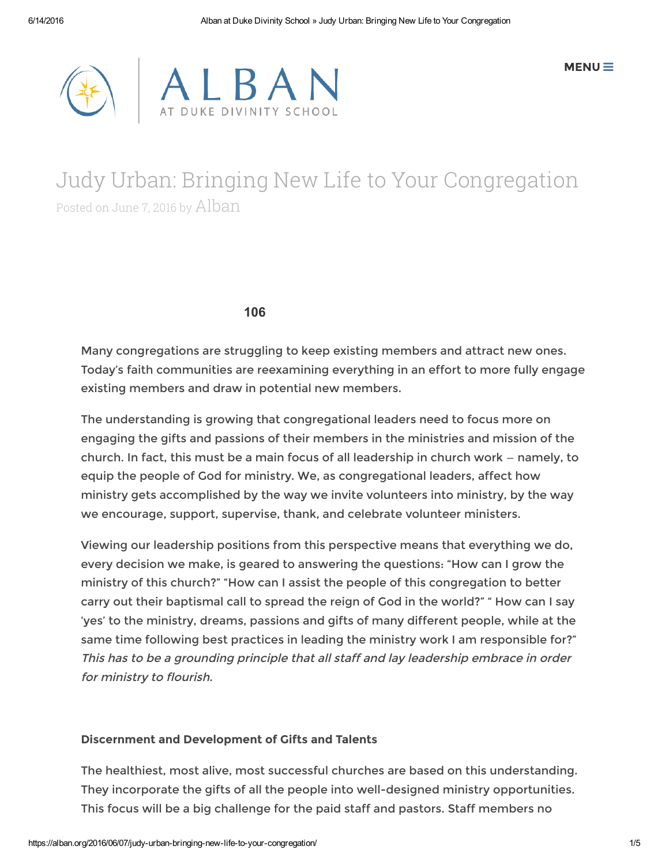



# Judy Urban: Bringing New Life to Your Congregation Posted on June 7, <sup>2016</sup> by [Alban](https://alban.org/author/alban-admin/)

106

Many congregations are struggling to keep existing members and attract new ones. Today's faith communities are reexamining everything in an effort to more fully engage existing members and draw in potential new members.

The understanding is growing that congregational leaders need to focus more on engaging the gifts and passions of their members in the ministries and mission of the church. In fact, this must be a main focus of all leadership in church work — namely, to equip the people of God for ministry. We, as congregational leaders, affect how ministry gets accomplished by the way we invite volunteers into ministry, by the way we encourage, support, supervise, thank, and celebrate volunteer ministers.

Viewing our leadership positions from this perspective means that everything we do, every decision we make, is geared to answering the questions: "How can I grow the ministry of this church?" "How can I assist the people of this congregation to better carry out their baptismal call to spread the reign of God in the world?" " How can I say 'yes' to the ministry, dreams, passions and gifts of many different people, while at the same time following best practices in leading the ministry work I am responsible for?" This has to be <sup>a</sup> grounding principle that all staff and lay leadership embrace in order for ministry to flourish.

# Discernment and Development of Gifts and Talents

The healthiest, most alive, most successful churches are based on this understanding. They incorporate the gifts of all the people into well-designed ministry opportunities. This focus will be a big challenge for the paid staff and pastors. Staff members no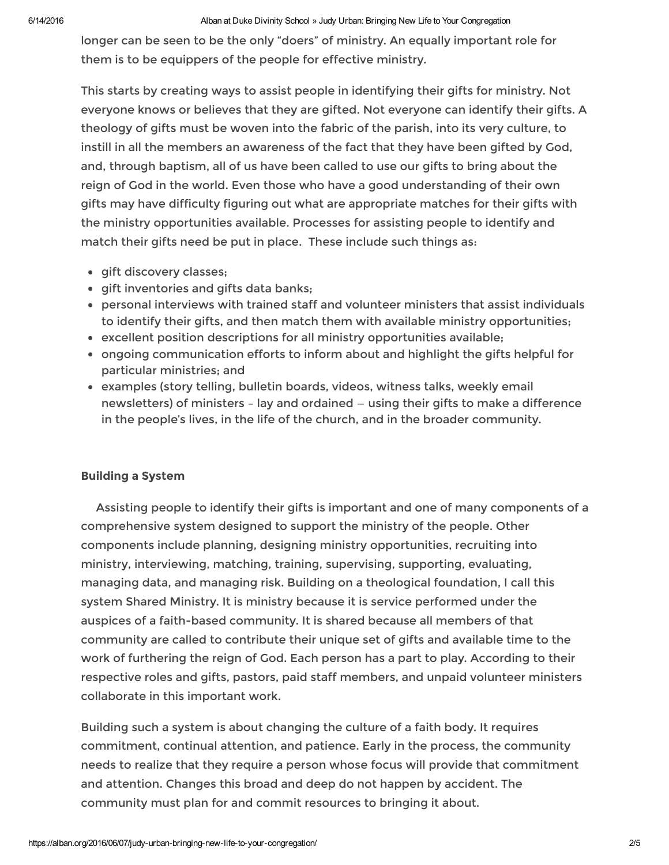#### 6/14/2016 Alban at Duke Divinity School » Judy Urban: Bringing New Life to Your Congregation

longer can be seen to be the only "doers" of ministry. An equally important role for them is to be equippers of the people for effective ministry.

This starts by creating ways to assist people in identifying their gifts for ministry. Not everyone knows or believes that they are gifted. Not everyone can identify their gifts. A theology of gifts must be woven into the fabric of the parish, into its very culture, to instill in all the members an awareness of the fact that they have been gifted by God, and, through baptism, all of us have been called to use our gifts to bring about the reign of God in the world. Even those who have a good understanding of their own gifts may have difficulty figuring out what are appropriate matches for their gifts with the ministry opportunities available. Processes for assisting people to identify and match their gifts need be put in place. These include such things as:

- **qift discovery classes:**
- gift inventories and gifts data banks;
- personal interviews with trained staff and volunteer ministers that assist individuals to identify their gifts, and then match them with available ministry opportunities;
- excellent position descriptions for all ministry opportunities available;
- ongoing communication efforts to inform about and highlight the gifts helpful for particular ministries; and
- examples (story telling, bulletin boards, videos, witness talks, weekly email newsletters) of ministers – lay and ordained — using their gifts to make a difference in the people's lives, in the life of the church, and in the broader community.

# Building a System

Assisting people to identify their gifts is important and one of many components of a comprehensive system designed to support the ministry of the people. Other components include planning, designing ministry opportunities, recruiting into ministry, interviewing, matching, training, supervising, supporting, evaluating, managing data, and managing risk. Building on a theological foundation, I call this system Shared Ministry. It is ministry because it is service performed under the auspices of a faith-based community. It is shared because all members of that community are called to contribute their unique set of gifts and available time to the work of furthering the reign of God. Each person has a part to play. According to their respective roles and gifts, pastors, paid staff members, and unpaid volunteer ministers collaborate in this important work.

Building such a system is about changing the culture of a faith body. It requires commitment, continual attention, and patience. Early in the process, the community needs to realize that they require a person whose focus will provide that commitment and attention. Changes this broad and deep do not happen by accident. The community must plan for and commit resources to bringing it about.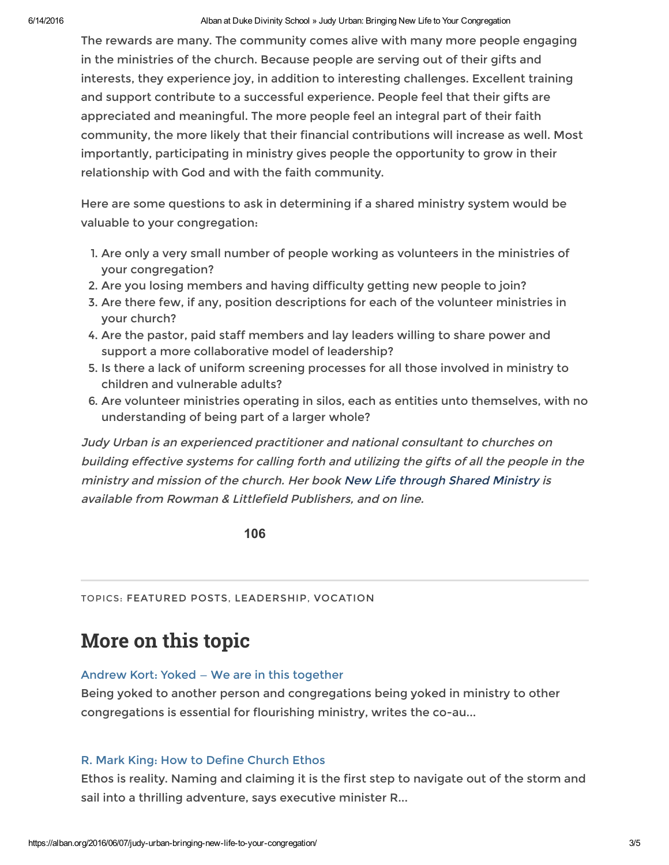#### 6/14/2016 Alban at Duke Divinity School » Judy Urban: Bringing New Life to Your Congregation

The rewards are many. The community comes alive with many more people engaging in the ministries of the church. Because people are serving out of their gifts and interests, they experience joy, in addition to interesting challenges. Excellent training and support contribute to a successful experience. People feel that their gifts are appreciated and meaningful. The more people feel an integral part of their faith community, the more likely that their financial contributions will increase as well. Most importantly, participating in ministry gives people the opportunity to grow in their relationship with God and with the faith community.

Here are some questions to ask in determining if a shared ministry system would be valuable to your congregation:

- 1. Are only a very small number of people working as volunteers in the ministries of your congregation?
- 2. Are you losing members and having difficulty getting new people to join?
- 3. Are there few, if any, position descriptions for each of the volunteer ministries in your church?
- 4. Are the pastor, paid staff members and lay leaders willing to share power and support a more collaborative model of leadership?
- 5. Is there a lack of uniform screening processes for all those involved in ministry to children and vulnerable adults?
- 6. Are volunteer ministries operating in silos, each as entities unto themselves, with no understanding of being part of a larger whole?

Judy Urban is an experienced practitioner and national consultant to churches on building effective systems for calling forth and utilizing the gifts of all the people in the ministry and mission of the church. Her book New Life [through](https://rowman.com/ISBN/9781566994354/New-Life-through-Shared-Ministry-Moving-from-Volunteering-to-Mission) Shared Ministry is available from Rowman & Littlefield Publishers, and on line.

106

TOPICS: [FEATURED](https://alban.org/category/featured-posts/) POSTS, [LEADERSHIP](https://alban.org/category/leadership/), [VOCATION](https://alban.org/category/vocation/)

# More on this topic

### Andrew Kort: Yoked — We are in this [together](https://alban.org/2015/07/29/andrew-kort-yoked-we-are-in-this-together/)

Being yoked to another person and congregations being yoked in ministry to other congregations is essential for flourishing ministry, writes the co-au...

### R. Mark King: How to Define [Church](https://alban.org/2015/10/08/r-mark-king-the-church-ethos-process/) Ethos

Ethos is reality. Naming and claiming it is the first step to navigate out of the storm and sail into a thrilling adventure, says executive minister R...